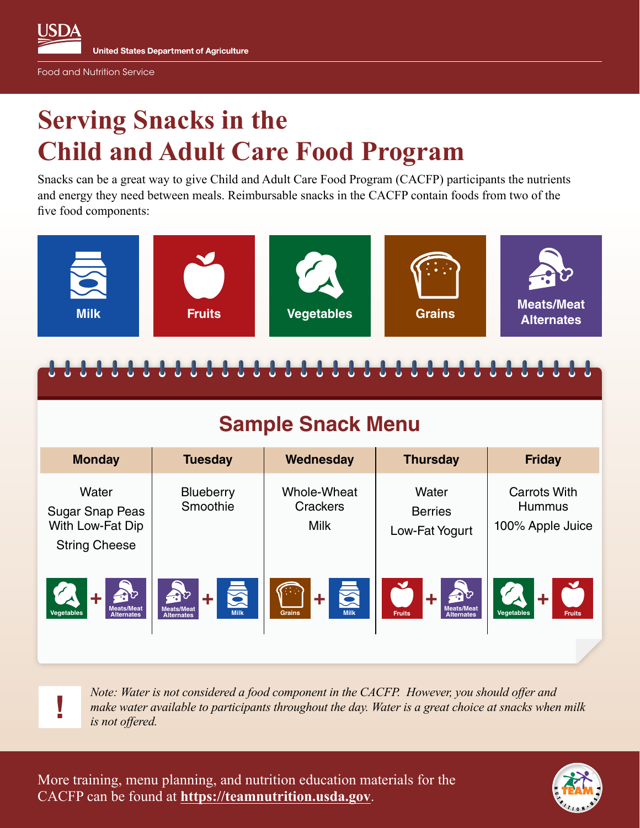## **Serving Snacks in the Child and Adult Care Food Program**

Snacks can be a great way to give Child and Adult Care Food Program (CACFP) participants the nutrients and energy they need between meals. Reimbursable snacks in the CACFP contain foods from two of the five food components:



### **Sample Snack Menu**

| <b>Monday</b>                                                               | <b>Tuesday</b>                                                                  | Wednesday                                                            | <b>Thursday</b>                                                   | <b>Friday</b>                                     |
|-----------------------------------------------------------------------------|---------------------------------------------------------------------------------|----------------------------------------------------------------------|-------------------------------------------------------------------|---------------------------------------------------|
| Water<br><b>Sugar Snap Peas</b><br>With Low-Fat Dip<br><b>String Cheese</b> | <b>Blueberry</b><br>Smoothie                                                    | <b>Whole-Wheat</b><br>Crackers<br><b>Milk</b>                        | Water<br><b>Berries</b><br>Low-Fat Yogurt                         | Carrots With<br><b>Hummus</b><br>100% Apple Juice |
| <b>Meats/Meat</b><br><b>Vegetables</b><br><b>Alternates</b>                 | S<br><b>Refer</b><br>╋<br><b>Meats/Meat</b><br><b>Milk</b><br><b>Alternates</b> | <b>AGED</b><br>$\sum_{i=1}^{\infty}$<br><b>Milk</b><br><b>Grains</b> | تتواجب<br><b>Meats/Meat</b><br><b>Fruits</b><br><b>Alternates</b> | <b>Vegetables</b><br><b>Fruits</b>                |

*Note: Water is not considered a food component in the CACFP. However, you should offer and make water available to participants throughout the day. Water is a great choice at snacks when* **is not offered** *make water available to participants throughout the day. Water is a great choice at snacks when milk is not offered.*

More training, menu planning, and nutrition education materials for the CACFP can be found at **[https://teamnutrition.usda.gov](https://www.fns.usda.gov/tn)**.

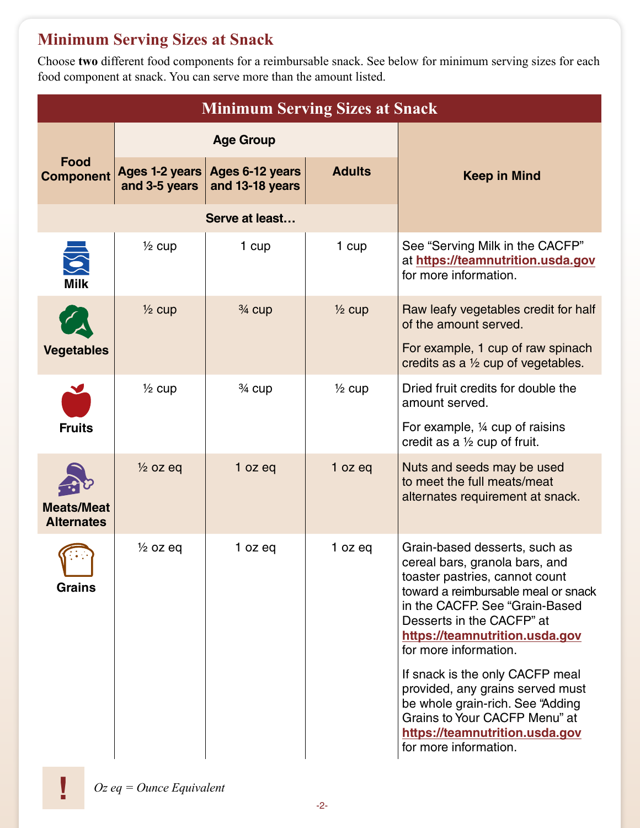#### **Minimum Serving Sizes at Snack**

Choose **two** different food components for a reimbursable snack. See below for minimum serving sizes for each food component at snack. You can serve more than the amount listed.

| <b>Minimum Serving Sizes at Snack</b>  |                                 |                                    |                   |                                                                                                                                                                                                                                                                                                                                                                                                                                                                           |  |  |
|----------------------------------------|---------------------------------|------------------------------------|-------------------|---------------------------------------------------------------------------------------------------------------------------------------------------------------------------------------------------------------------------------------------------------------------------------------------------------------------------------------------------------------------------------------------------------------------------------------------------------------------------|--|--|
| <b>Food</b><br><b>Component</b>        | <b>Age Group</b>                |                                    |                   |                                                                                                                                                                                                                                                                                                                                                                                                                                                                           |  |  |
|                                        | Ages 1-2 years<br>and 3-5 years | Ages 6-12 years<br>and 13-18 years | <b>Adults</b>     | <b>Keep in Mind</b>                                                                                                                                                                                                                                                                                                                                                                                                                                                       |  |  |
|                                        | Serve at least                  |                                    |                   |                                                                                                                                                                                                                                                                                                                                                                                                                                                                           |  |  |
| <b>SOLUTION</b>                        | $\frac{1}{2}$ cup               | 1 cup                              | 1 cup             | See "Serving Milk in the CACFP"<br>at https://teamnutrition.usda.gov<br>for more information.                                                                                                                                                                                                                                                                                                                                                                             |  |  |
| <b>Vegetables</b>                      | $\frac{1}{2}$ cup               | 3/4 cup                            | $\frac{1}{2}$ cup | Raw leafy vegetables credit for half<br>of the amount served.<br>For example, 1 cup of raw spinach<br>credits as a 1/2 cup of vegetables.                                                                                                                                                                                                                                                                                                                                 |  |  |
| <b>Fruits</b>                          | $\frac{1}{2}$ cup               | $\frac{3}{4}$ cup                  | $\frac{1}{2}$ cup | Dried fruit credits for double the<br>amount served.<br>For example, $\frac{1}{4}$ cup of raisins<br>credit as a $\frac{1}{2}$ cup of fruit.                                                                                                                                                                                                                                                                                                                              |  |  |
| <b>Meats/Meat</b><br><b>Alternates</b> | $\frac{1}{2}$ oz eq             | 1 oz eq                            | 1 oz eq           | Nuts and seeds may be used<br>to meet the full meats/meat<br>alternates requirement at snack.                                                                                                                                                                                                                                                                                                                                                                             |  |  |
| <b>Grains</b>                          | $\frac{1}{2}$ oz eq             | 1 oz eq                            | 1 $oz$ eq         | Grain-based desserts, such as<br>cereal bars, granola bars, and<br>toaster pastries, cannot count<br>toward a reimbursable meal or snack<br>in the CACFP. See "Grain-Based<br>Desserts in the CACFP" at<br>https://teamnutrition.usda.gov<br>for more information.<br>If snack is the only CACFP meal<br>provided, any grains served must<br>be whole grain-rich. See "Adding<br>Grains to Your CACFP Menu" at<br>https://teamnutrition.usda.gov<br>for more information. |  |  |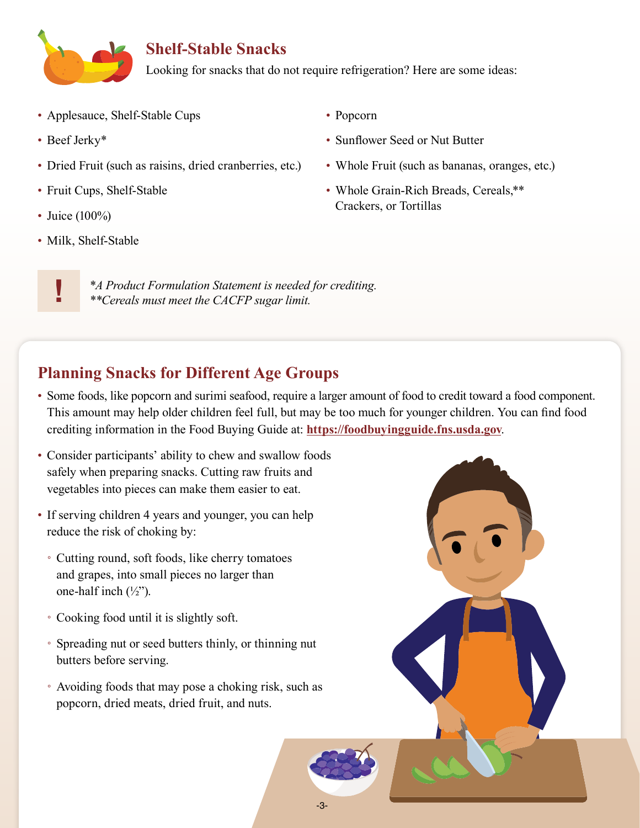

#### **Shelf-Stable Snacks**

Looking for snacks that do not require refrigeration? Here are some ideas:

- Applesauce, Shelf-Stable Cups
- Beef Jerky\*
- Dried Fruit (such as raisins, dried cranberries, etc.)
- Fruit Cups, Shelf-Stable
- Juice (100%)
- Milk, Shelf-Stable
- Popcorn
- Sunflower Seed or Nut Butter
- Whole Fruit (such as bananas, oranges, etc.)
- Whole Grain-Rich Breads, Cereals,\*\* Crackers, or Tortillas

**!** *\*A Product Formulation Statement is needed for crediting. \*\*Cereals must meet the CACFP sugar limit.*

#### **Planning Snacks for Different Age Groups**

- Some foods, like popcorn and surimi seafood, require a larger amount of food to credit toward a food component. This amount may help older children feel full, but may be too much for younger children. You can find food crediting information in the Food Buying Guide at: **<https://foodbuyingguide.fns.usda.gov>**.
- Consider participants' ability to chew and swallow foods safely when preparing snacks. Cutting raw fruits and vegetables into pieces can make them easier to eat.
- If serving children 4 years and younger, you can help reduce the risk of choking by:
	- Cutting round, soft foods, like cherry tomatoes and grapes, into small pieces no larger than one-half inch  $(\frac{1}{2})$ .
	- Cooking food until it is slightly soft.
	- Spreading nut or seed butters thinly, or thinning nut butters before serving.
	- Avoiding foods that may pose a choking risk, such as popcorn, dried meats, dried fruit, and nuts.